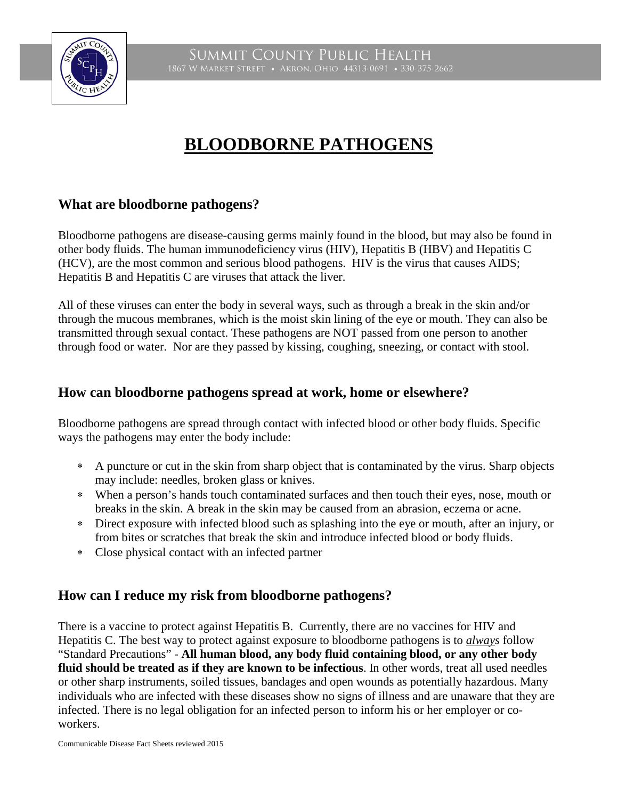

Summit County Public Health 1867 W Market Street • Akron, Ohio 44313-0691 • 330-375-2662

# **BLOODBORNE PATHOGENS**

### **What are bloodborne pathogens?**

Bloodborne pathogens are disease-causing germs mainly found in the blood, but may also be found in other body fluids. The human immunodeficiency virus (HIV), Hepatitis B (HBV) and Hepatitis C (HCV), are the most common and serious blood pathogens. HIV is the virus that causes AIDS; Hepatitis B and Hepatitis C are viruses that attack the liver.

All of these viruses can enter the body in several ways, such as through a break in the skin and/or through the mucous membranes, which is the moist skin lining of the eye or mouth. They can also be transmitted through sexual contact. These pathogens are NOT passed from one person to another through food or water. Nor are they passed by kissing, coughing, sneezing, or contact with stool.

#### **How can bloodborne pathogens spread at work, home or elsewhere?**

Bloodborne pathogens are spread through contact with infected blood or other body fluids. Specific ways the pathogens may enter the body include:

- ∗ A puncture or cut in the skin from sharp object that is contaminated by the virus. Sharp objects may include: needles, broken glass or knives.
- ∗ When a person's hands touch contaminated surfaces and then touch their eyes, nose, mouth or breaks in the skin. A break in the skin may be caused from an abrasion, eczema or acne.
- ∗ Direct exposure with infected blood such as splashing into the eye or mouth, after an injury, or from bites or scratches that break the skin and introduce infected blood or body fluids.
- ∗ Close physical contact with an infected partner

#### **How can I reduce my risk from bloodborne pathogens?**

There is a vaccine to protect against Hepatitis B. Currently, there are no vaccines for HIV and Hepatitis C. The best way to protect against exposure to bloodborne pathogens is to *always* follow "Standard Precautions" - **All human blood, any body fluid containing blood, or any other body fluid should be treated as if they are known to be infectious**. In other words, treat all used needles or other sharp instruments, soiled tissues, bandages and open wounds as potentially hazardous. Many individuals who are infected with these diseases show no signs of illness and are unaware that they are infected. There is no legal obligation for an infected person to inform his or her employer or coworkers.